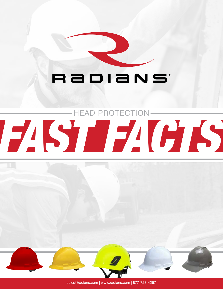# RadiaNs

# *FAST FACTS*  $-$ HEAD PROTECTION $-$

sales@radians.com | www.radians.com | 877-723-4267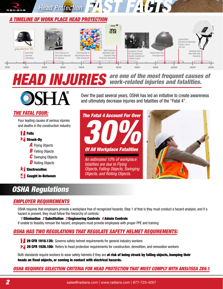

# *are one of the most frequent causes of HEAD INJURIES work-related injuries and fatalities.*

*30% Of All Workplace Fatalities*

*An estimated 10% of workplace fatalities are due to Flying* 

*Objects, Falling Objects, Swinging Objects, and Rolling Objects.*

*The Fatal 4 Account For Over*

Over the past several years, OSHA has led an initiative to create awareness and ultimately decrease injuries and fatalities of the "Fatal 4".

#### *THE FATAL FOUR:*

Four leading causes of serious injuries and deaths in the construction industry

OSHA



# *OSHA Regulations*

## *EMPLOYER REQUIREMENTS*

OSHA requires that employers provide a workplace free of recognized hazards. Step 1 of that is they must conduct a hazard analysis, and if a hazard is present, they must follow the hierarchy of controls:

#### *1* Elimination *2* Substitution *3* Engineering Controls *4* Admin Controls

If unable to feasibly remove the hazard, employers must provide employees with proper PPE and training

## *OSHA HAS TWO REGULATIONS THAT REGULATE SAFETY HELMET REQUIREMENTS:*

**7 29 CFR 1910.135:** Governs safety helmet requirements for general industry workers

29 CFR 1926.100: Refers to head protection requirements for construction, demolition, and renovation workers *2*

Both standards require workers to wear safety helmets if they are at risk of being struck by falling objects, bumping their heads on fixed objects, or coming in contact with electrical hazards.

#### *OSHA REQUIRES SELECTION CRITERIA FOR HEAD PROTECTION THAT MUST COMPLY WITH ANSI/ISEA Z89.1*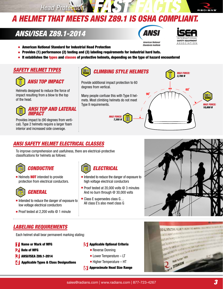# *A HELMET THAT MEETS ANSI Z89.1 IS OSHA COMPLIANT.*

# *ANSI/ISEA Z89.1-2014*

- American National Standard for Industrial Head Protection
- Provides (1) performance (2) testing and (3) labeling requirements for industrial hard hats.

*Head Protection* 

 $\blacksquare$  It establishes the types and classes of protective helmets, depending on the type of hazard encountered

### *SAFETY HELMET TYPES*



# *ANSI TOP IMPACT*

Helmets designed to reduce the force of impact resulting from a blow to the top of the head.



Provides impact to (90 degrees from vertical). Type 2 helmets require a larger foam interior and increased side coverage.

# *CLIMBING STYLE HELMETS*

Standards Institute

Provide additional impact protection to 60 degrees from vertical.

Many people confuse this with Type II helmets. Most climbing helmets do not meet Type II requirements.

# *MAX FORCE: 7,355 N*



**SAFETY EQUIPMENT** 

eanians

#### *ANSI SAFETY HELMET ELECTRICAL CLASSES*

To improve comprehension and usefulness, there are electrical-protective classifications for helmets as follows:

# *CONDUCTIVE*

 $\blacksquare$  Helmets **NOT** intended to provide protection from electrical conductors.



# *GENERAL*

- Intended to reduce the danger of exposure to low voltage electrical conductors
- Proof tested at 2,200 volts @ 1 minute

# *ELECTRICAL*

- $\blacksquare$  Intended to reduce the danger of exposure to high voltage electrical conductors
- Proof tested at 20,000 volts  $@$  3 minutes And no burn through @ 30,000 volts
- Class E supersedes class G... All class E's also meet class G



### *LABELING REQUIREMENTS*

Each helmet shall bear permanent marking stating:

- 1. Name or Mark of MFG *1 5*
- Date of MFG *2*
- 3. ANSI/ISEA Z89.1-2014 *3*
- 3. Applicable Types & Class Designations *4*

#### **47** Applicable Optional Criteria

- Reverse Donning
- $\blacksquare$  Lower Temperature LT
- $\blacksquare$  Higher Temperature HT
- 1. Approximate Head Size Range *6*